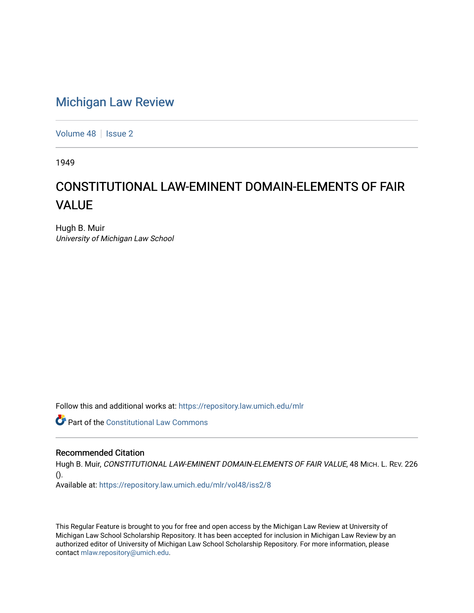## [Michigan Law Review](https://repository.law.umich.edu/mlr)

[Volume 48](https://repository.law.umich.edu/mlr/vol48) | [Issue 2](https://repository.law.umich.edu/mlr/vol48/iss2)

1949

# CONSTITUTIONAL LAW-EMINENT DOMAIN-ELEMENTS OF FAIR VALUE

Hugh B. Muir University of Michigan Law School

Follow this and additional works at: [https://repository.law.umich.edu/mlr](https://repository.law.umich.edu/mlr?utm_source=repository.law.umich.edu%2Fmlr%2Fvol48%2Fiss2%2F8&utm_medium=PDF&utm_campaign=PDFCoverPages) 

**Part of the Constitutional Law Commons** 

#### Recommended Citation

Hugh B. Muir, CONSTITUTIONAL LAW-EMINENT DOMAIN-ELEMENTS OF FAIR VALUE, 48 MICH. L. REV. 226 ().

Available at: [https://repository.law.umich.edu/mlr/vol48/iss2/8](https://repository.law.umich.edu/mlr/vol48/iss2/8?utm_source=repository.law.umich.edu%2Fmlr%2Fvol48%2Fiss2%2F8&utm_medium=PDF&utm_campaign=PDFCoverPages)

This Regular Feature is brought to you for free and open access by the Michigan Law Review at University of Michigan Law School Scholarship Repository. It has been accepted for inclusion in Michigan Law Review by an authorized editor of University of Michigan Law School Scholarship Repository. For more information, please contact [mlaw.repository@umich.edu](mailto:mlaw.repository@umich.edu).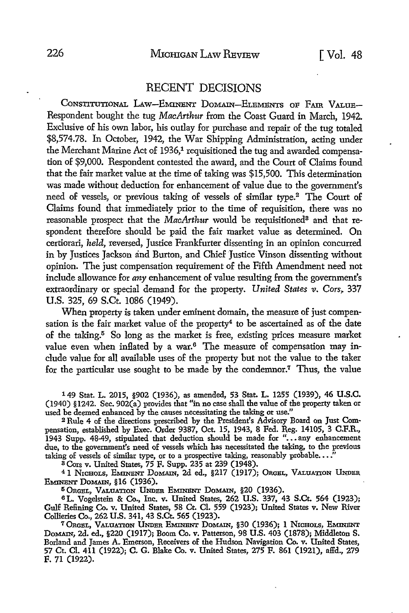#### RECENT DECISIONS

CONSTITUTIONAL LAW-EMINENT DOMAIN-ELEMENTS OF FAIR VALUE-Respondent bought the tug *MacArthur* from the Coast Guard in March, 1942. Exclusive of his own labor, his outlay for purchase and repair of the tug totaled \$8,574.78. In October, 1942, the War Shipping Administration, acting under the Merchant Marine Act of 1936,<sup>1</sup> requisitioned the tug and awarded compensation of \$9,000. Respondent contested the award, and the Court of Claims found that the fair market value at the time of taking was \$15,500. This determination was made without deduction for enhancement of value due to the government's need of vessels, or previous taking of vessels of similar type.2 The Court of Claims found that immediately prior to the time of requisition, there was no reasonable prospect that the *MacArthur* would be requisitioned<sup>3</sup> and that respondent therefore should be paid the fair market value as determined. On certiorari, *held,* reversed, Justice Frankfurter dissenting in an opinion concurred in by Justices Jackson and Burton, and Chief Justice Vinson dissenting without opinion. The just compensation requirement of the Fifth Amendment need not include allowance for *any* enhancement of value resulting from the government's extraordinary or special demand for the property. *United States v. Cors*, 337 U.S. 325, 69 S.Ct. 1086 (1949).

When property is taken under eminent domain, the measure of just compensation is the fair market value of the property<sup>4</sup> to be ascertained as of the date of the taking.5 So long as the market is free, existing prices measure market value even when inflated by a war.<sup>6</sup> The measure of compensation may include value for all available uses of the property but not the value to the taker for the particular use sought to be made by the condemnor.7 Thus, the value

149 Stat. L. 2015, §902 (1936), as amended, 53 Stat. L. 1255 (1939), 46 U.S.C. (1940) §1242. Sec. 902(a) provides that "in no case shall the value of the property taken or used be deemed enhanced by the causes necessitating the taking or use."

2 Rule 4 of the directions prescribed by the President's Advisory Board on Just Compensation, established by Exec. Order 9387, Oct. 15, 1943, 8 Fed. Reg. 14105, 3 C.F.R., 1943 Supp. 48-49, stipulated that deduction should be made for "... any enhancement due, to the government's need of vessels which has necessitated the taking, to the previous taking of vessels of similar type, or to a prospective taking, reasonably probable...

s Cors v. United States, 75 F. Supp. 235 at 239 (1948).

<sup>4</sup> 1 NICHOLS, EMINENT DOMAIN, 2d ed., §217 (1917); ORGEL, VALUATION UNDER EMINENT DOMAIN, §16 (1936).

<sup>5</sup> Orgel, Valuation Under Eminent Domain, §20 (1936).

<sup>6</sup>L. Vogelstein & Co., Inc. v. United States, 262 U.S. 337, 43 S.Ct. 564 (1923); Gulf Refining Co. v. United States, 58 Ct. CI. 559 (1923); United States v. New River Collieries Co., 262 U.S. 341, 43 S.Ct. 565 (1923).

7 ORcBL, VALUATION UNDER EMINENT DoMAIN, §30 (1936); 1 N1cH0Ls, EMINilNT DoMAIN, 2d. ed., §220 (1917); Boom Co. v. Patterson, 98 U.S. 403 (1878); Middleton S. Borland and James A. Emerson, Receivers of the Hudson Navigation Co. v. United States, 57 Ct. Cl. 411 (1922); C. G. Blake Co. v. United States, 275 F. 861 (1921), alfd., 279 F. 71 (1922).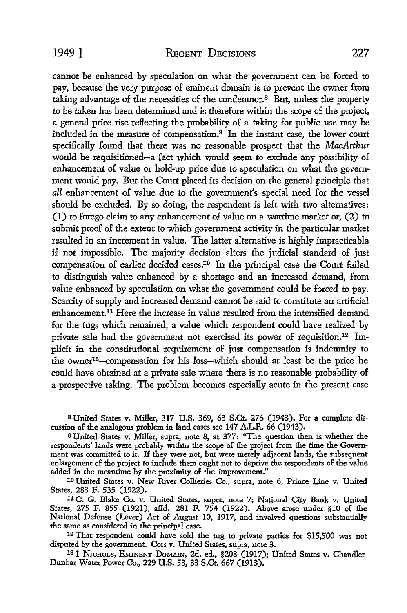cannot be enhanced by speculation on what the government can be forced to pay, because the very purpose of eminent domain is to prevent the owner from taking advantage of the necessities of the condemnor.8 But, unless the property to be taken has been determined and is therefore within the scope of the project, a general price rise reflecting the probability of a taking for public use may be included in the measure of compensation.9 In the instant case, the lower court specifically found that there was no reasonable prospect that the *MacArthur*  would be requisitioned-a fact which would seem to exclude any possibility of enhancement of value or hold-up price due to speculation on what the government would pay. But the Court placed its decision on the general principle that *all* enhancement of value due to the government's special need for the vessel should be excluded. By so doing, the respondent is left with two alternatives: (I) to forego claim to any enhancement of value on a wartime market or, (2) to submit proof of the extent to which government activity in the particular market resulted in an increment in value. The latter alternative is highly impracticable if not impossible. The majority decision alters the judicial standard of just compensation of earlier decided cases.10 In the principal case the Court failed to distinguish value enhanced by a shortage and an increased demand, from value enhanced by speculation on what the government could be forced to pay. Scarcity of supply and increased demand cannot be said to constitute an artificial enhancement.11 Here the increase in value resulted from the intensified demand for the tugs which remained, a value which respondent could have realized by private sale had the government not exercised its power of requisition.12 Implicit in the constitutional requirement of just compensation is indemnity to the owner13-compensation for his loss-which should at least be the price he could have obtained at a private sale where there is no reasonable probability of a prospective taking. The problem becomes especially acute in the present case

8 United States v. Miller, 317 U.S. 369, 63 S.Ct. 276 (1943). For a complete discussion of the analogous problem in land cases see 147 A.L.R. 66 (1943).

<sup>9</sup>United States v. Miller, supra, note 8, at 377: "The question then is whether the respondents' lands were probably within the scope of the project from the time the Government was committed to it. If they were not, but were merely adjacent lands, the subsequent enlargement of the project to include them ought not to deprive the respondents of the value added in the meantime by the proximity of the improvement."

10 United States v. New River Collieries Co., supra, note 6; Prince Line v. United States, 283 F. 535 (1922).

11 C. G. Blake Co. v. United States, supra, note 7; National City Bank v. United States, 275 F. 855 (1921), affd. 281 F. 754 (1922). Above arose under §10 of the National Defense (Lever) Act of August 10, 1917, and involved questions substantially the same as considered in the principal case.

<sup>12</sup>That respondent could have sold the tug to private parties for \$15,500 was not disputed by the government. Cors v. United States, supra, note 3.

131 N1cH0Ls, EMINENT DoMAIN, 2d. ed., §208 (1917); United States v. Chandler-Dunbar Water Power Co., 229 U.S. 53, 33 S.Ct. 667 (1913).